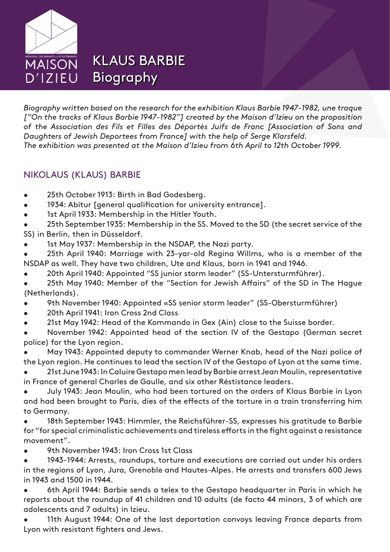

KLAUS BARBIE KLAUS BARBIE Biography Biography

*Biography written based on the research for the exhibition Klaus Barbie 1947-1982, une traque ["On the tracks of Klaus Barbie 1947-1982"] created by the Maison d'Izieu on the proposition of the Association des Fils et Filles des Déportés Juifs de Franc [Association of Sons and Daughters of Jewish Deportees from France] with the help of Serge Klarsfeld. The exhibition was presented at the Maison d'Izieu from 6th April to 12th October 1999.*

## NIKOLAUS (KLAUS) BARBIE

- 25th October 1913: Birth in Bad Godesberg.
- 1934: Abitur [general qualification for university entrance].
- 1st April 1933: Membership in the Hitler Youth.

25th September 1935: Membership in the SS. Moved to the SD (the secret service of the SS) in Berlin, then in Düsseldorf.

1st May 1937: Membership in the NSDAP, the Nazi party.

25th April 1940: Marriage with 23-yar-old Regina Willms, who is a member of the NSDAP as well. They have two children, Ute and Klaus, born in 1941 and 1946.

- 20th April 1940: Appointed "SS junior storm leader" (SS-Untersturmführer).
- 25th May 1940: Member of the "Section for Jewish Affairs" of the SD in The Hague (Netherlands).
- 9th November 1940: Appointed «SS senior storm leader" (SS-Obersturmführer)
- 20th April 1941: Iron Cross 2nd Class
- 21st May 1942: Head of the Kommando in Gex (Ain) close to the Suisse border.

November 1942: Appointed head of the section IV of the Gestapo (German secret police) for the Lyon region.

May 1943: Appointed deputy to commander Werner Knab, head of the Nazi police of the Lyon region. He continues to lead the section IV of the Gestapo of Lyon at the same time.

21st June 1943: In Caluire Gestapo men lead by Barbie arrest Jean Moulin, representative in France of general Charles de Gaulle, and six other Réstistance leaders.

July 1943: Jean Moulin, who had been tortured on the orders of Klaus Barbie in Lyon and had been brought to Paris, dies of the effects of the torture in a train transferring him to Germany.

18th September 1943: Himmler, the Reichsführer-SS, expresses his gratitude to Barbie for "for special criminalistic achievements and tireless efforts in the fight against a resistance movement".

9th November 1943: Iron Cross 1st Class

1943-1944: Arrests, roundups, torture and executions are carried out under his orders in the regions of Lyon, Jura, Grenoble and Hautes-Alpes. He arrests and transfers 600 Jews in 1943 and 1500 in 1944.

6th April 1944: Barbie sends a telex to the Gestapo headquarter in Paris in which he reports about the roundup of 41 children and 10 adults (de facto 44 minors, 3 of which are adolescents and 7 adults) in Izieu.

11th August 1944: One of the last deportation convoys leaving France departs from Lyon with resistant fighters and Jews.